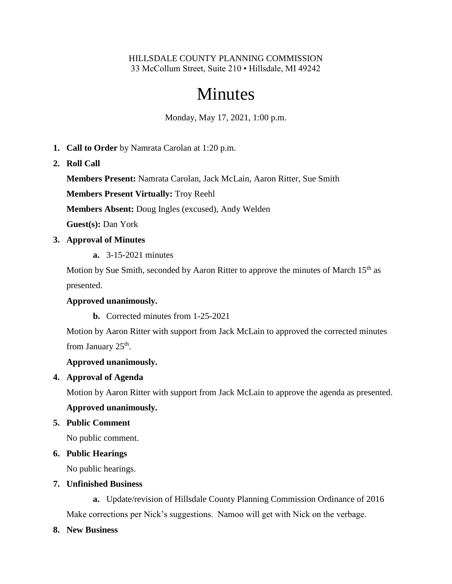## HILLSDALE COUNTY PLANNING COMMISSION 33 McCollum Street, Suite 210 • Hillsdale, MI 49242

# **Minutes**

Monday, May 17, 2021, 1:00 p.m.

- **1. Call to Order** by Namrata Carolan at 1:20 p.m.
- **2. Roll Call**

**Members Present:** Namrata Carolan, Jack McLain, Aaron Ritter, Sue Smith

**Members Present Virtually:** Troy Reehl

**Members Absent:** Doug Ingles (excused), Andy Welden

**Guest(s):** Dan York

# **3. Approval of Minutes**

**a.** 3-15-2021 minutes

Motion by Sue Smith, seconded by Aaron Ritter to approve the minutes of March 15<sup>th</sup> as presented.

# **Approved unanimously.**

**b.** Corrected minutes from 1-25-2021

Motion by Aaron Ritter with support from Jack McLain to approved the corrected minutes from January 25<sup>th</sup>.

## **Approved unanimously.**

**4. Approval of Agenda**

Motion by Aaron Ritter with support from Jack McLain to approve the agenda as presented.

# **Approved unanimously.**

**5. Public Comment**

No public comment.

**6. Public Hearings**

No public hearings.

**7. Unfinished Business**

**a.** Update/revision of Hillsdale County Planning Commission Ordinance of 2016 Make corrections per Nick's suggestions. Namoo will get with Nick on the verbage.

**8. New Business**